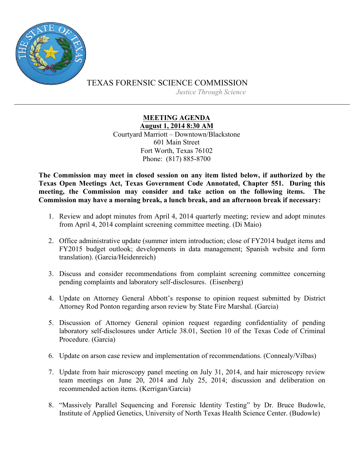

TEXAS FORENSIC SCIENCE COMMISSION

*Justice Through Science*

## **MEETING AGENDA**

**August 1, 2014 8:30 AM** Courtyard Marriott – Downtown/Blackstone 601 Main Street Fort Worth, Texas 76102 Phone: (817) 885-8700

**The Commission may meet in closed session on any item listed below, if authorized by the Texas Open Meetings Act, Texas Government Code Annotated, Chapter 551. During this meeting, the Commission may consider and take action on the following items. The Commission may have a morning break, a lunch break, and an afternoon break if necessary:**

- 1. Review and adopt minutes from April 4, 2014 quarterly meeting; review and adopt minutes from April 4, 2014 complaint screening committee meeting. (Di Maio)
- 2. Office administrative update (summer intern introduction; close of FY2014 budget items and FY2015 budget outlook; developments in data management; Spanish website and form translation). (Garcia/Heidenreich)
- 3. Discuss and consider recommendations from complaint screening committee concerning pending complaints and laboratory self-disclosures. (Eisenberg)
- 4. Update on Attorney General Abbott's response to opinion request submitted by District Attorney Rod Ponton regarding arson review by State Fire Marshal. (Garcia)
- 5. Discussion of Attorney General opinion request regarding confidentiality of pending laboratory self-disclosures under Article 38.01, Section 10 of the Texas Code of Criminal Procedure. (Garcia)
- 6. Update on arson case review and implementation of recommendations. (Connealy/Vilbas)
- 7. Update from hair microscopy panel meeting on July 31, 2014, and hair microscopy review team meetings on June 20, 2014 and July 25, 2014; discussion and deliberation on recommended action items. (Kerrigan/Garcia)
- 8. "Massively Parallel Sequencing and Forensic Identity Testing" by Dr. Bruce Budowle, Institute of Applied Genetics, University of North Texas Health Science Center. (Budowle)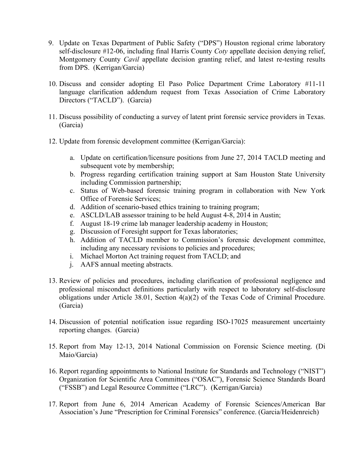- 9. Update on Texas Department of Public Safety ("DPS") Houston regional crime laboratory self-disclosure #12-06, including final Harris County *Coty* appellate decision denying relief, Montgomery County *Cavil* appellate decision granting relief, and latest re-testing results from DPS. (Kerrigan/Garcia)
- 10. Discuss and consider adopting El Paso Police Department Crime Laboratory #11-11 language clarification addendum request from Texas Association of Crime Laboratory Directors ("TACLD"). (Garcia)
- 11. Discuss possibility of conducting a survey of latent print forensic service providers in Texas. (Garcia)
- 12. Update from forensic development committee (Kerrigan/Garcia):
	- a. Update on certification/licensure positions from June 27, 2014 TACLD meeting and subsequent vote by membership;
	- b. Progress regarding certification training support at Sam Houston State University including Commission partnership;
	- c. Status of Web-based forensic training program in collaboration with New York Office of Forensic Services;
	- d. Addition of scenario-based ethics training to training program;
	- e. ASCLD/LAB assessor training to be held August 4-8, 2014 in Austin;
	- f. August 18-19 crime lab manager leadership academy in Houston;
	- g. Discussion of Foresight support for Texas laboratories;
	- h. Addition of TACLD member to Commission's forensic development committee, including any necessary revisions to policies and procedures;
	- i. Michael Morton Act training request from TACLD; and
	- j. AAFS annual meeting abstracts.
- 13. Review of policies and procedures, including clarification of professional negligence and professional misconduct definitions particularly with respect to laboratory self-disclosure obligations under Article 38.01, Section 4(a)(2) of the Texas Code of Criminal Procedure. (Garcia)
- 14. Discussion of potential notification issue regarding ISO-17025 measurement uncertainty reporting changes. (Garcia)
- 15. Report from May 12-13, 2014 National Commission on Forensic Science meeting. (Di Maio/Garcia)
- 16. Report regarding appointments to National Institute for Standards and Technology ("NIST") Organization for Scientific Area Committees ("OSAC"), Forensic Science Standards Board ("FSSB") and Legal Resource Committee ("LRC"). (Kerrigan/Garcia)
- 17. Report from June 6, 2014 American Academy of Forensic Sciences/American Bar Association's June "Prescription for Criminal Forensics" conference. (Garcia/Heidenreich)